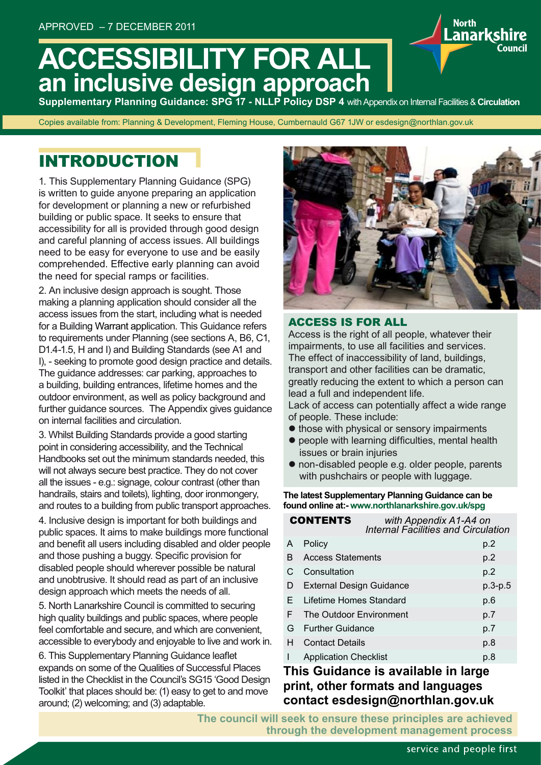# **ACCESSIBILITY FOR ALL an inclusive design approach**

**Supplementary Planning Guidance: SPG 17 - NLLP Policy DSP 4** with Appendix on Internal Facilities & **Circulation**

Copies available from: Planning & Development, Fleming House, Cumbernauld G67 1JW or esdesign@northlan.gov.uk

## INTRODUCTION

1. This Supplementary Planning Guidance (SPG) is written to guide anyone preparing an application for development or planning a new or refurbished building or public space. It seeks to ensure that accessibility for all is provided through good design and careful planning of access issues. All buildings need to be easy for everyone to use and be easily comprehended. Effective early planning can avoid the need for special ramps or facilities.

2. An inclusive design approach is sought. Those making a planning application should consider all the access issues from the start, including what is needed for a Building Warrant application. This Guidance refers to requirements under Planning (see sections A, B6, C1, D1.4-1.5, H and I) and Building Standards (see A1 and I), - seeking to promote good design practice and details. The guidance addresses: car parking, approaches to a building, building entrances, lifetime homes and the outdoor environment, as well as policy background and further guidance sources. The Appendix gives guidance on internal facilities and circulation.

3. Whilst Building Standards provide a good starting point in considering accessibility, and the Technical Handbooks set out the minimum standards needed, this will not always secure best practice. They do not cover all the issues - e.g.: signage, colour contrast (other than handrails, stairs and toilets), lighting, door ironmongery, and routes to a building from public transport approaches.

4. Inclusive design is important for both buildings and public spaces. It aims to make buildings more functional and benefit all users including disabled and older people and those pushing a buggy. Specific provision for disabled people should wherever possible be natural and unobtrusive. It should read as part of an inclusive design approach which meets the needs of all.

5. North Lanarkshire Council is committed to securing high quality buildings and public spaces, where people feel comfortable and secure, and which are convenient, accessible to everybody and enjoyable to live and work in.

6. This Supplementary Planning Guidance leaflet expands on some of the Qualities of Successful Places listed in the Checklist in the Council's SG15 'Good Design Toolkit' that places should be: (1) easy to get to and move around; (2) welcoming; and (3) adaptable.



**North** 

.anarkshire

#### ACCESS IS FOR ALL

Access is the right of all people, whatever their impairments, to use all facilities and services. The effect of inaccessibility of land, buildings, transport and other facilities can be dramatic, greatly reducing the extent to which a person can lead a full and independent life.

Lack of access can potentially affect a wide range of people. These include:

- $\bullet$  those with physical or sensory impairments
- people with learning difficulties, mental health issues or brain injuries
- $\bullet$  non-disabled people e.g. older people, parents with pushchairs or people with luggage.

#### **The latest Supplementary Planning Guidance can be found online at:- www.northlanarkshire.gov.uk/spg**

| <b>CONTENTS</b> |                                 | with Appendix A1-A4 on<br>Internal Facilities and Circulation |           |
|-----------------|---------------------------------|---------------------------------------------------------------|-----------|
| A               | Policy                          |                                                               | p.2       |
| B               | <b>Access Statements</b>        |                                                               | p.2       |
| C.              | Consultation                    |                                                               | p.2       |
| D               | <b>External Design Guidance</b> |                                                               | $p.3-p.5$ |
| F.              | Lifetime Homes Standard         |                                                               | p.6       |
| F               | The Outdoor Environment         |                                                               | p.7       |
| G               | <b>Further Guidance</b>         |                                                               | p.7       |
| н               | <b>Contact Details</b>          |                                                               | p.8       |
|                 | <b>Application Checklist</b>    |                                                               | p.8       |

### **This Guidance is available in large print, other formats and languages contact esdesign@northlan.gov.uk**

**The council will seek to ensure these principles are achieved through the development management process**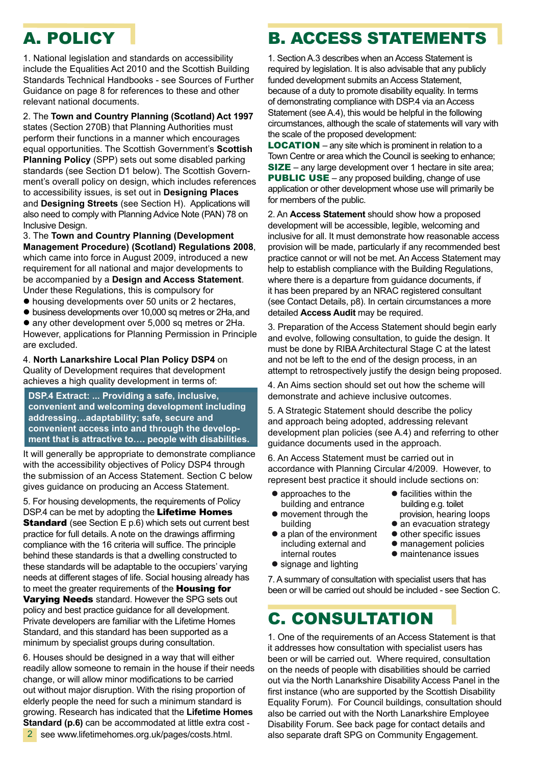# A. POLICY

1. National legislation and standards on accessibility include the Equalities Act 2010 and the Scottish Building Standards Technical Handbooks - see Sources of Further Guidance on page 8 for references to these and other relevant national documents.

2. The **Town and Country Planning (Scotland) Act 1997**  states (Section 270B) that Planning Authorities must perform their functions in a manner which encourages equal opportunities. The Scottish Government's **Scottish Planning Policy** (SPP) sets out some disabled parking standards (see Section D1 below). The Scottish Government's overall policy on design, which includes references to accessibility issues, is set out in **Designing Places**  and **Designing Streets** (see Section H). Applications will also need to comply with Planning Advice Note (PAN) 78 on Inclusive Design.

3. The **Town and Country Planning (Development Management Procedure) (Scotland) Regulations 2008**, which came into force in August 2009, introduced a new requirement for all national and major developments to be accompanied by a **Design and Access Statement**. Under these Regulations, this is compulsory for

- $\bullet$  housing developments over 50 units or 2 hectares,
- $\bullet$  business developments over 10,000 sq metres or 2Ha, and

• any other development over 5,000 sq metres or 2Ha. However, applications for Planning Permission in Principle are excluded.

4. **North Lanarkshire Local Plan Policy DSP4** on Quality of Development requires that development achieves a high quality development in terms of:

**DSP.4 Extract: ... Providing a safe, inclusive, convenient and welcoming development including addressing…adaptability; safe, secure and convenient access into and through the development that is attractive to…. people with disabilities.**

It will generally be appropriate to demonstrate compliance with the accessibility objectives of Policy DSP4 through the submission of an Access Statement. Section C below gives guidance on producing an Access Statement.

5. For housing developments, the requirements of Policy DSP.4 can be met by adopting the Lifetime Homes **Standard** (see Section E p.6) which sets out current best practice for full details. A note on the drawings affirming compliance with the 16 criteria will suffice. The principle behind these standards is that a dwelling constructed to these standards will be adaptable to the occupiers' varying needs at different stages of life. Social housing already has to meet the greater requirements of the **Housing for** 

Varying Needs standard. However the SPG sets out policy and best practice guidance for all development. Private developers are familiar with the Lifetime Homes Standard, and this standard has been supported as a minimum by specialist groups during consultation.

6. Houses should be designed in a way that will either readily allow someone to remain in the house if their needs change, or will allow minor modifications to be carried out without major disruption. With the rising proportion of elderly people the need for such a minimum standard is growing. Research has indicated that the **Lifetime Homes Standard (p.6)** can be accommodated at little extra cost -

# B. ACCESS STATEMENTS

1. Section A.3 describes when an Access Statement is required by legislation. It is also advisable that any publicly funded development submits an Access Statement, because of a duty to promote disability equality. In terms of demonstrating compliance with DSP.4 via an Access Statement (see A.4), this would be helpful in the following circumstances, although the scale of statements will vary with the scale of the proposed development:

LOCATION – any site which is prominent in relation to a Town Centre or area which the Council is seeking to enhance; SIZE – any large development over 1 hectare in site area; **PUBLIC USE** – any proposed building, change of use application or other development whose use will primarily be for members of the public.

2. An **Access Statement** should show how a proposed development will be accessible, legible, welcoming and inclusive for all. It must demonstrate how reasonable access provision will be made, particularly if any recommended best practice cannot or will not be met. An Access Statement may help to establish compliance with the Building Regulations, where there is a departure from guidance documents, if it has been prepared by an NRAC registered consultant (see Contact Details, p8). In certain circumstances a more detailed **Access Audit** may be required.

3. Preparation of the Access Statement should begin early and evolve, following consultation, to guide the design. It must be done by RIBA Architectural Stage C at the latest and not be left to the end of the design process, in an attempt to retrospectively justify the design being proposed.

4. An Aims section should set out how the scheme will demonstrate and achieve inclusive outcomes.

5. A Strategic Statement should describe the policy and approach being adopted, addressing relevant development plan policies (see A.4) and referring to other guidance documents used in the approach.

6. An Access Statement must be carried out in accordance with Planning Circular 4/2009. However, to represent best practice it should include sections on:

• approaches to the building and entrance

 internal routes  $\bullet$  signage and lighting

- movement through the building
- $\bullet$  facilities within the building e.g. toilet provision, hearing loops • an evacuation strategy
- a plan of the environment including external and  $\bullet$  other specific issues
	- $\bullet$  management policies
	- $\bullet$  maintenance issues

7. A summary of consultation with specialist users that has been or will be carried out should be included - see Section C.

## C. CONSULTATION

1. One of the requirements of an Access Statement is that it addresses how consultation with specialist users has been or will be carried out. Where required, consultation on the needs of people with disabilities should be carried out via the North Lanarkshire Disability Access Panel in the first instance (who are supported by the Scottish Disability Equality Forum). For Council buildings, consultation should also be carried out with the North Lanarkshire Employee Disability Forum. See back page for contact details and also separate draft SPG on Community Engagement.

 see www.lifetimehomes.org.uk/pages/costs.html. 2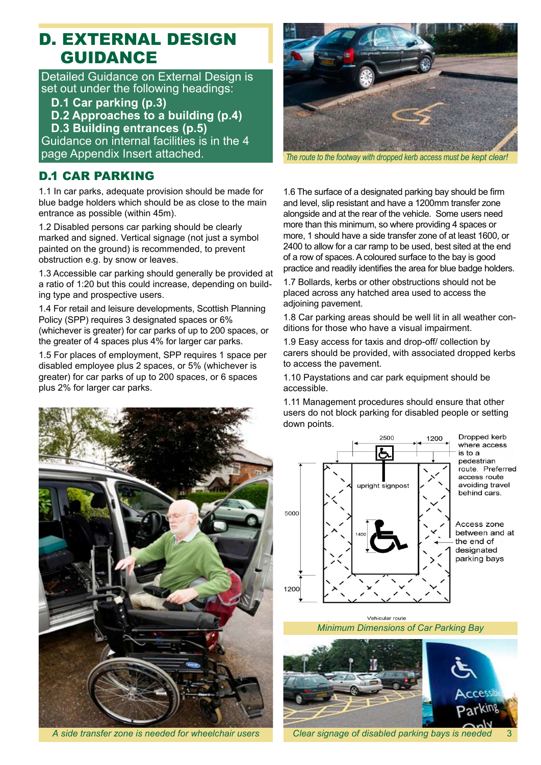### D. EXTERNAL DESIGN GUIDANCE

Detailed Guidance on External Design is set out under the following headings:

- **D.1 Car parking (p.3)**
- **D.2 Approaches to a building (p.4)**

 **D.3 Building entrances (p.5)**

Guidance on internal facilities is in the 4 page Appendix Insert attached.

### D.1 CAR PARKING

1.1 In car parks, adequate provision should be made for blue badge holders which should be as close to the main entrance as possible (within 45m).

1.2 Disabled persons car parking should be clearly marked and signed. Vertical signage (not just a symbol painted on the ground) is recommended, to prevent obstruction e.g. by snow or leaves.

1.3 Accessible car parking should generally be provided at a ratio of 1:20 but this could increase, depending on building type and prospective users.

1.4 For retail and leisure developments, Scottish Planning Policy (SPP) requires 3 designated spaces or 6% (whichever is greater) for car parks of up to 200 spaces, or the greater of 4 spaces plus 4% for larger car parks.

1.5 For places of employment, SPP requires 1 space per disabled employee plus 2 spaces, or 5% (whichever is greater) for car parks of up to 200 spaces, or 6 spaces plus 2% for larger car parks.



*A side transfer zone is needed for wheelchair users*



*The route to the footway with dropped kerb access must be kept clear!*

1.6 The surface of a designated parking bay should be firm and level, slip resistant and have a 1200mm transfer zone alongside and at the rear of the vehicle. Some users need more than this minimum, so where providing 4 spaces or more, 1 should have a side transfer zone of at least 1600, or 2400 to allow for a car ramp to be used, best sited at the end of a row of spaces. A coloured surface to the bay is good practice and readily identifies the area for blue badge holders.

1.7 Bollards, kerbs or other obstructions should not be placed across any hatched area used to access the adjoining pavement.

1.8 Car parking areas should be well lit in all weather conditions for those who have a visual impairment.

1.9 Easy access for taxis and drop-off/ collection by carers should be provided, with associated dropped kerbs to access the pavement.

1.10 Paystations and car park equipment should be accessible.

1.11 Management procedures should ensure that other users do not block parking for disabled people or setting down points.



Vehicular route



*Clear signage of disabled parking bays is needed*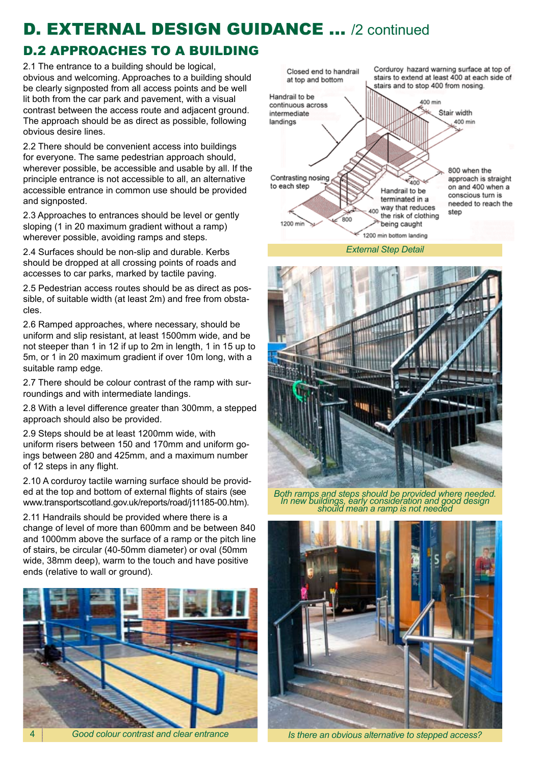# **D. EXTERNAL DESIGN GUIDANCE ... /2 continued**

### D.2 APPROACHES TO A BUILDING

2.1 The entrance to a building should be logical. obvious and welcoming. Approaches to a building should be clearly signposted from all access points and be well lit both from the car park and pavement, with a visual contrast between the access route and adjacent ground. The approach should be as direct as possible, following obvious desire lines.

2.2 There should be convenient access into buildings for everyone. The same pedestrian approach should, wherever possible, be accessible and usable by all. If the principle entrance is not accessible to all, an alternative accessible entrance in common use should be provided and signposted.

2.3 Approaches to entrances should be level or gently sloping (1 in 20 maximum gradient without a ramp) wherever possible, avoiding ramps and steps.

2.4 Surfaces should be non-slip and durable. Kerbs should be dropped at all crossing points of roads and accesses to car parks, marked by tactile paving.

2.5 Pedestrian access routes should be as direct as possible, of suitable width (at least 2m) and free from obstacles.

2.6 Ramped approaches, where necessary, should be uniform and slip resistant, at least 1500mm wide, and be not steeper than 1 in 12 if up to 2m in length, 1 in 15 up to 5m, or 1 in 20 maximum gradient if over 10m long, with a suitable ramp edge.

2.7 There should be colour contrast of the ramp with surroundings and with intermediate landings.

2.8 With a level difference greater than 300mm, a stepped approach should also be provided.

2.9 Steps should be at least 1200mm wide, with uniform risers between 150 and 170mm and uniform goings between 280 and 425mm, and a maximum number of 12 steps in any flight.

2.10 A corduroy tactile warning surface should be provided at the top and bottom of external flights of stairs (see www.transportscotland.gov.uk/reports/road/j11185-00.htm).

2.11 Handrails should be provided where there is a change of level of more than 600mm and be between 840 and 1000mm above the surface of a ramp or the pitch line of stairs, be circular (40-50mm diameter) or oval (50mm wide, 38mm deep), warm to the touch and have positive ends (relative to wall or ground).



*Good colour contrast and clear entrance*



*External Step Detail* 



*Both ramps and steps should be provided where needed. In new buildings, early consideration and good design should mean a ramp is not needed*



*Is there an obvious alternative to stepped access?*

4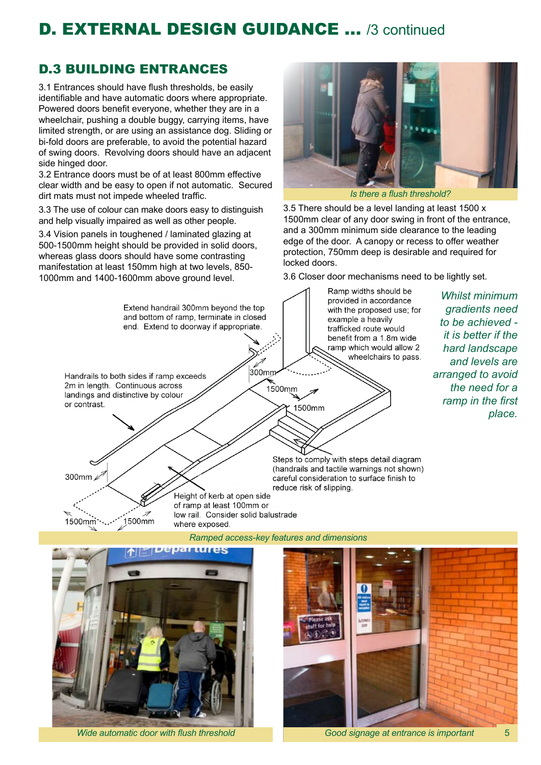# D. EXTERNAL DESIGN GUIDANCE ... /3 continued

### D.3 BUILDING ENTRANCES

3.1 Entrances should have flush thresholds, be easily identifiable and have automatic doors where appropriate. Powered doors benefit everyone, whether they are in a wheelchair, pushing a double buggy, carrying items, have limited strength, or are using an assistance dog. Sliding or bi-fold doors are preferable, to avoid the potential hazard of swing doors. Revolving doors should have an adjacent side hinged door.

3.2 Entrance doors must be of at least 800mm effective clear width and be easy to open if not automatic. Secured dirt mats must not impede wheeled traffic.

3.3 The use of colour can make doors easy to distinguish and help visually impaired as well as other people.

3.4 Vision panels in toughened / laminated glazing at 500-1500mm height should be provided in solid doors, whereas glass doors should have some contrasting manifestation at least 150mm high at two levels, 850- 1000mm and 1400-1600mm above ground level.



3.5 There should be a level landing at least 1500 x 1500mm clear of any door swing in front of the entrance, and a 300mm minimum side clearance to the leading edge of the door. A canopy or recess to offer weather protection, 750mm deep is desirable and required for locked doors.

3.6 Closer door mechanisms need to be lightly set.





*Good signage at entrance is important Wide automatic door with flush threshold* 5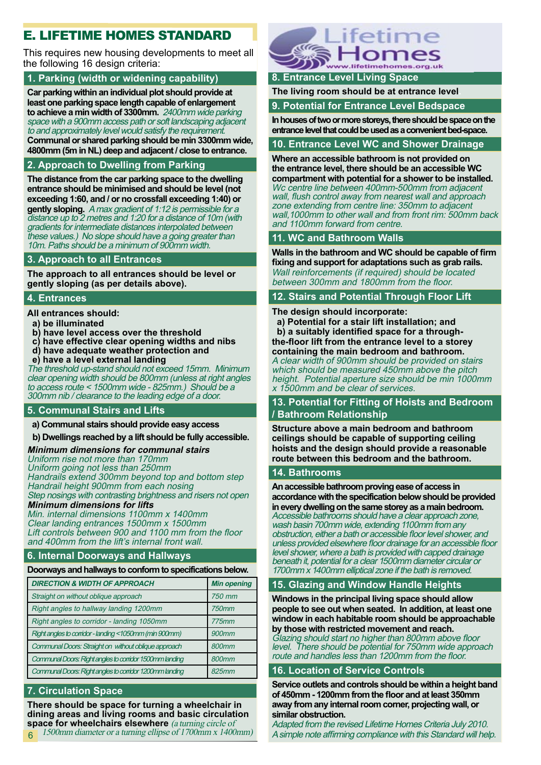### E. LIFETIME HOMES STANDARD

This requires new housing developments to meet all the following 16 design criteria:

#### **1. Parking (width or widening capability)**

**Car parking within an individual plot should provide at least one parking space length capable of enlargement to achieve a min width of 3300mm.** 2400mm wide parking space with a 900mm access path or soft landscaping adjacent to and approximately level would satisfy the requirement.

**Communal or shared parking should be min 3300mm wide, 4800mm (5m in NL) deep and adjacent / close to entrance.** 

#### **2. Approach to Dwelling from Parking**

**The distance from the car parking space to the dwelling entrance should be minimised and should be level (not exceeding 1:60, and / or no crossfall exceeding 1:40) or gently sloping.** A max gradient of 1:12 is permissible for a distance up to 2 metres and 1:20 for a distance of 10m (with gradients for intermediate distances interpolated between these values.) No slope should have a going greater than 10m. Paths should be a minimum of 900mm width.

#### **3. Approach to all Entrances**

**The approach to all entrances should be level or gently sloping (as per details above).** 

#### **4. Entrances**

**All entrances should:** 

- **a) be illuminated**
- **b) have level access over the threshold**
- **c) have effective clear opening widths and nibs**
- **d) have adequate weather protection and**
- **e) have a level external landing**

The threshold up-stand should not exceed 15mm. Minimum clear opening width should be 800mm (unless at right angles to access route < 1500mm wide - 825mm.) Should be a 300mm nib / clearance to the leading edge of a door.

#### **5. Communal Stairs and Lifts**

 **a) Communal stairs should provide easy access**

 **b) Dwellings reached by a lift should be fully accessible.**

#### **Minimum dimensions for communal stairs**

Uniform rise not more than 170mm Uniform going not less than 250mm Handrails extend 300mm beyond top and bottom step Handrail height 900mm from each nosing Step nosings with contrasting brightness and risers not open

#### **Minimum dimensions for lifts**

Min. internal dimensions 1100mm x 1400mm Clear landing entrances 1500mm x 1500mm Lift controls between 900 and 1100 mm from the floor and 400mm from the lift's internal front wall.

#### **6. Internal Doorways and Hallways**

#### **Doorways and hallways to conform to specifications below.**

| <b>DIRECTION &amp; WIDTH OF APPROACH</b>                | <b>Min opening</b> |
|---------------------------------------------------------|--------------------|
| Straight on without oblique approach                    | 750 mm             |
| Right angles to hallway landing 1200mm                  | 750mm              |
| Right angles to corridor - landing 1050mm               | 775mm              |
| Right angles to corridor - landing <1050mm (min 900mm)  | 900mm              |
| Communal Doors: Straight on without oblique approach    | 800mm              |
| Communal Doors: Right angles to corridor 1500mm landing | 800mm              |
| Communal Doors: Right angles to corridor 1200mm landing | 825mm              |

#### **7. Circulation Space**

**There should be space for turning a wheelchair in dining areas and living rooms and basic circulation space for wheelchairs elsewhere** (a turning circle of





#### **8. Entrance Level Living Space**

**The living room should be at entrance level.**

**9. Potential for Entrance Level Bedspace**

**In houses of two or more storeys, there should be space on the entrance level that could be used as a convenient bed-space.**

#### **10. Entrance Level WC and Shower Drainage**

**Where an accessible bathroom is not provided on the entrance level, there should be an accessible WC compartment with potential for a shower to be installed.**

Wc centre line between 400mm-500mm from adjacent wall, flush control away from nearest wall and approach zone extending from centre line: 350mm to adjacent wall, 1000mm to other wall and from front rim: 500mm back and 1100mm forward from centre.

#### **11. WC and Bathroom Walls**

**Walls in the bathroom and WC should be capable of firm fixing and support for adaptations such as grab rails.** Wall reinforcements (if required) should be located between 300mm and 1800mm from the floor.

#### **12. Stairs and Potential Through Floor Lift**

#### **The design should incorporate:**

 **a) Potential for a stair lift installation; and b) a suitably identified space for a throughthe-floor lift from the entrance level to a storey containing the main bedroom and bathroom.** 

A clear width of 900mm should be provided on stairs which should be measured 450mm above the pitch height. Potential aperture size should be min 1000mm x 1500mm and be clear of services.

#### **13. Potential for Fitting of Hoists and Bedroom / Bathroom Relationship**

**Structure above a main bedroom and bathroom ceilings should be capable of supporting ceiling hoists and the design should provide a reasonable route between this bedroom and the bathroom.**

#### **14. Bathrooms**

**An accessible bathroom proving ease of access in accordance with the specification below should be provided in every dwelling on the same storey as a main bedroom.** Accessible bathrooms should have a clear approach zone, wash basin 700mm wide, extending 1100mm from any obstruction, either a bath or accessible floor level shower, and unless provided elsewhere floor drainage for an accessible floor level shower, where a bath is provided with capped drainage beneath it, potential for a clear 1500mm diameter circular or 1700mm x 1400mm elliptical zone if the bath is removed.

#### **15. Glazing and Window Handle Heights**

**Windows in the principal living space should allow people to see out when seated. In addition, at least one window in each habitable room should be approachable by those with restricted movement and reach.** Glazing should start no higher than 800mm above floor

level. There should be potential for 750mm wide approach route and handles less than 1200mm from the floor.

#### **16. Location of Service Controls**

**Service outlets and controls should be within a height band of 450mm - 1200mm from the floor and at least 350mm away from any internal room corner, projecting wall, or similar obstruction.**

Adapted from the revised Lifetime Homes Criteria July 2010. 6 A simple note affirming compliance with this Standard will help.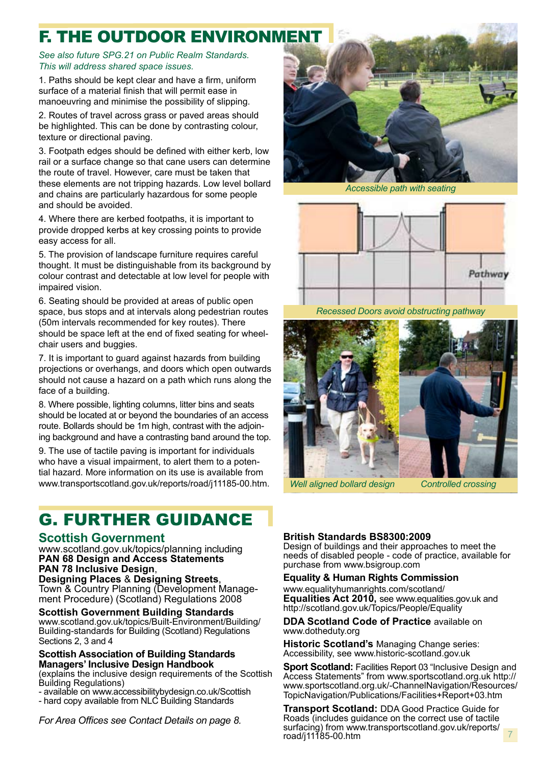# **F. THE OUTDOOR ENVIRONMEN**

#### *See also future SPG.21 on Public Realm Standards. This will address shared space issues.*

1. Paths should be kept clear and have a firm, uniform surface of a material finish that will permit ease in manoeuvring and minimise the possibility of slipping.

2. Routes of travel across grass or paved areas should be highlighted. This can be done by contrasting colour, texture or directional paving.

3. Footpath edges should be defined with either kerb, low rail or a surface change so that cane users can determine the route of travel. However, care must be taken that these elements are not tripping hazards. Low level bollard and chains are particularly hazardous for some people and should be avoided.

4. Where there are kerbed footpaths, it is important to provide dropped kerbs at key crossing points to provide easy access for all.

5. The provision of landscape furniture requires careful thought. It must be distinguishable from its background by colour contrast and detectable at low level for people with impaired vision.

6. Seating should be provided at areas of public open space, bus stops and at intervals along pedestrian routes (50m intervals recommended for key routes). There should be space left at the end of fixed seating for wheelchair users and buggies.

7. It is important to guard against hazards from building projections or overhangs, and doors which open outwards should not cause a hazard on a path which runs along the face of a building.

8. Where possible, lighting columns, litter bins and seats should be located at or beyond the boundaries of an access route. Bollards should be 1m high, contrast with the adjoining background and have a contrasting band around the top.

9. The use of tactile paving is important for individuals who have a visual impairment, to alert them to a potential hazard. More information on its use is available from www.transportscotland.gov.uk/reports/road/j11185-00.htm.

# G. FURTHER GUIDANCE

#### **Scottish Government**

www.scotland.gov.uk/topics/planning including **PAN 68 Design and Access Statements PAN 78 Inclusive Design**,

**Designing Places** & **Designing Streets**, Town & Country Planning (Development Management Procedure) (Scotland) Regulations 2008

#### **Scottish Government Building Standards**

www.scotland.gov.uk/topics/Built-Environment/Building/ Building-standards for Building (Scotland) Regulations Sections 2, 3 and 4

#### **Scottish Association of Building Standards Managers' Inclusive Design Handbook**

(explains the inclusive design requirements of the Scottish Building Regulations)

- available on www.accessibilitybydesign.co.uk/Scottish - hard copy available from NLC Building Standards

*For Area Offices see Contact Details on page 8.*



*Accessible path with seating*



*Recessed Doors avoid obstructing pathway*



*Well aligned bollard design Controlled crossing*

7

#### **British Standards BS8300:2009**

Design of buildings and their approaches to meet the needs of disabled people - code of practice, available for purchase from www.bsigroup.com

#### **Equality & Human Rights Commission**

www.equalityhumanrights.com/scotland/ **Equalities Act 2010,** see www.equalities.gov.uk and http://scotland.gov.uk/Topics/People/Equality

#### **DDA Scotland Code of Practice** available on www.dotheduty.org

**Historic Scotland's** Managing Change series: Accessibility, see www.historic-scotland.gov.uk

**Sport Scotland: Facilities Report 03 "Inclusive Design and** Access Statements" from www.sportscotland.org.uk http:// www.sportscotland.org.uk/-ChannelNavigation/Resources/ TopicNavigation/Publications/Facilities+Report+03.htm

**Transport Scotland:** DDA Good Practice Guide for Roads (includes guidance on the correct use of tactile surfacing) from www.transportscotland.gov.uk/reports/ road/j11185-00.htm